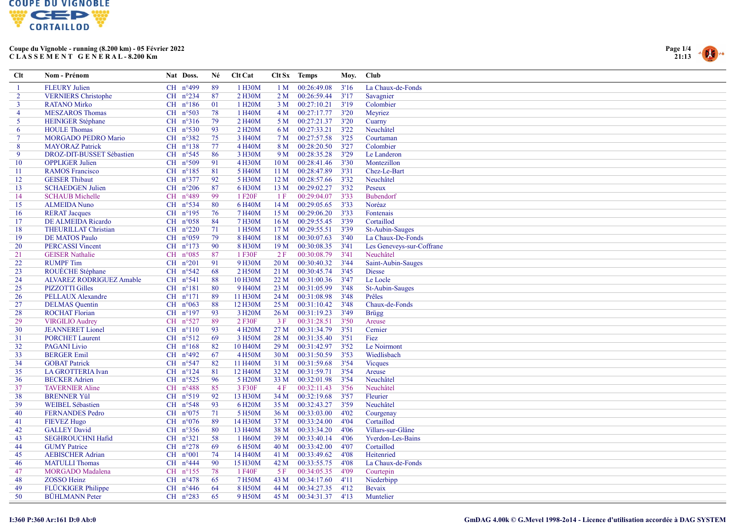



| $Cl$ t<br>Nom - Prénom                       |                            | Nat Doss.           |                     | Né  | Clt Cat              |                 | Clt Sx Temps     | Moy. | <b>Club</b>               |
|----------------------------------------------|----------------------------|---------------------|---------------------|-----|----------------------|-----------------|------------------|------|---------------------------|
| <b>FLEURY Julien</b>                         |                            |                     | CH n°499            | 89  | 1 H30M               | 1 <sub>M</sub>  | 00:26:49.08      | 3'16 | La Chaux-de-Fonds         |
| $\overline{2}$<br><b>VERNIERS</b> Christophe |                            |                     | CH $n^{\circ}$ 234  | 87  | 2 H30M               | 2M              | 00:26:59.44      | 3'17 | Savagnier                 |
| $\mathbf{3}$<br><b>RATANO Mirko</b>          |                            |                     | $CH$ $n^{\circ}186$ | 01  | 1 H <sub>20</sub> M  | 3 M             | 00:27:10.21      | 3'19 | Colombier                 |
| $\overline{4}$<br><b>MESZAROS</b> Thomas     |                            |                     | CH $n^{\circ}503$   | 78  | 1 H40M               |                 | 4 M 00:27:17.77  | 3'20 | Meyriez                   |
| 5 <sup>1</sup><br><b>HEINIGER Stéphane</b>   |                            |                     | CH $n^{\circ}316$   | 79  | 2 H40M               |                 | 5 M 00:27:21.37  | 3'20 | Cuarny                    |
| <b>HOULE Thomas</b><br>6                     |                            |                     | $CH$ $n^{\circ}530$ | 93  | 2 H <sub>20</sub> M  |                 | 6 M 00:27:33.21  | 3'22 | Neuchâtel                 |
| $\tau$                                       | <b>MORGADO PEDRO Mario</b> |                     | CH $n^{\circ}382$   | 75  | 3 H40M               |                 | 7 M 00:27:57.58  | 3'25 | Courtaman                 |
| 8<br><b>MAYORAZ Patrick</b>                  |                            |                     | $CH$ $n^{\circ}138$ | 77  | 4 H <sub>40</sub> M  | 8 M             | 00:28:20.50      | 3'27 | Colombier                 |
| 9                                            | DROZ-DIT-BUSSET Sébastien  |                     | $CH$ n°545          | 86  | 3 H30M               | 9 M             | 00:28:35.28      | 3'29 | Le Landeron               |
| 10<br><b>OPPLIGER Julien</b>                 |                            |                     | $CH$ $n^{\circ}509$ | 91  | 4 H30M               | 10 <sub>M</sub> | 00:28:41.46      | 3'30 | Montezillon               |
| <b>RAMOS Francisco</b><br>11                 |                            |                     | $CH$ $n^{\circ}185$ | 81  | 5 H40M               | 11 <sub>M</sub> | 00:28:47.89      | 3'31 | Chez-Le-Bart              |
| <b>GEISER</b> Thibaut<br>12                  |                            |                     | CH $n^{\circ}377$   | 92  | 5 H30M               | 12 <sub>M</sub> | 00:28:57.66      | 3'32 | Neuchâtel                 |
| <b>SCHAEDGEN Julien</b><br>13                |                            |                     | CH $n^{\circ}206$   | 87  | 6 H30M               | 13 M            | 00:29:02.27      | 3'32 | Peseux                    |
| <b>SCHAUB</b> Michelle<br>14                 |                            |                     | CH n°489            | 99  | 1 F <sub>20</sub> F  | 1F              | 00:29:04.07      | 3'33 | Bubendorf                 |
| 15<br><b>ALMEIDA Nuno</b>                    |                            |                     | CH $n^{\circ}$ 534  | -80 | 6 H <sub>40</sub> M  | 14M             | 00:29:05.65      | 3'33 | Noréaz                    |
| <b>RERAT Jacques</b><br>16                   |                            |                     | $CH$ n°195          | 76  | 7 H <sub>40</sub> M  | 15 <sub>M</sub> | 00:29:06.20      | 3'33 | Fontenais                 |
| 17<br>DE ALMEIDA Ricardo                     |                            |                     | CH $n°058$          | 84  | 7 H30M               | 16 <sub>M</sub> | 00:29:55.45      | 3'39 | Cortaillod                |
| <b>THEURILLAT Christian</b><br>18            |                            |                     | CH $n^{\circ}220$   | 71  | 1 H50M               | 17 <sub>M</sub> | 00:29:55.51      | 3'39 | St-Aubin-Sauges           |
| 19<br><b>DE MATOS Paulo</b>                  |                            |                     | CH $n^{\circ}059$   | 79  | 8 H40M               | 18M             | 00:30:07.63      | 3'40 | La Chaux-De-Fonds         |
| 20<br><b>PERCASSI</b> Vincent                |                            |                     | CH $n^{\circ}173$   | 90  | 8 H30M               | 19 <sub>M</sub> | 00:30:08.35      | 3'41 | Les Geneveys-sur-Coffrane |
| 21<br><b>GEISER</b> Nathalie                 |                            |                     | CH $n^{\circ}085$   | 87  | 1 F30F               | 2F              | 00:30:08.79      | 3'41 | Neuchâtel                 |
| 22<br><b>RUMPF</b> Tim                       |                            | $CH$ $n^{\circ}201$ |                     | 91  | 9 H30M               | 20 <sub>M</sub> | 00:30:40.32      | 3'44 | Saint-Aubin-Sauges        |
| 23<br>ROUÈCHE Stéphane                       |                            |                     | CH $n^{\circ}542$   | 68  | 2 H50M               | 21 <sub>M</sub> | 00:30:45.74      | 3'45 | <b>Diesse</b>             |
| 24                                           | ALVAREZ RODRIGUEZ Amable   |                     | $CH$ n°541          | 88  | 10 H30M              | 22M             | 00:31:00.36      | 3'47 | Le Locle                  |
| 25<br><b>PIZZOTTI Gilles</b>                 |                            |                     | $CH$ $n^{\circ}181$ | 80  | 9 H <sub>40</sub> M  | 23M             | 00:31:05.99      | 3'48 | St-Aubin-Sauges           |
| 26<br>PELLAUX Alexandre                      |                            |                     | CH $n^{\circ}171$   | 89  | 11 H30M              | 24 M            | 00:31:08.98      | 3'48 | Prêles                    |
| 27<br><b>DELMAS</b> Quentin                  |                            |                     | CH $n^{\circ}063$   | 88  | 12 H30M              | 25 M            | 00:31:10.42      | 3'48 | Chaux-de-Fonds            |
| 28<br><b>ROCHAT Florian</b>                  |                            |                     | CH $n^{\circ}197$   | 93  | 3 H <sub>20</sub> M  | 26 M            | 00:31:19.23      | 3'49 | <b>Brügg</b>              |
| 29<br><b>VIRGILIO Audrey</b>                 |                            |                     | CH $n^{\circ}527$   | -89 | 2 F30F               | 3F              | 00:31:28.51      | 3'50 | Areuse                    |
| <b>JEANNERET</b> Lionel<br>30                |                            |                     | $CH$ $n^{\circ}110$ | 93  | 4 H <sub>20</sub> M  | 27 M            | 00:31:34.79      | 3'51 | Cernier                   |
| <b>PORCHET Laurent</b><br>31                 |                            |                     | $CH$ $n^{\circ}512$ | 69  | 3 H50M               | 28 M            | 00:31:35.40      | 3'51 | Fiez                      |
| 32<br><b>PAGANI</b> Livio                    |                            |                     | $CH$ $n^{\circ}168$ | 82  | 10 H <sub>40</sub> M | 29 M            | 00:31:42.97      | 3'52 | Le Noirmont               |
| 33<br><b>BERGER Emil</b>                     |                            |                     | $CH$ n°492          | 67  | 4 H50M               | 30 <sub>M</sub> | 00:31:50.59      | 3'53 | Wiedlisbach               |
| 34<br><b>GOBAT Patrick</b>                   |                            |                     | CH $n^{\circ}547$   | 82  | 11 H <sub>40</sub> M | 31 <sub>M</sub> | 00:31:59.68      | 3'54 | <b>Vicques</b>            |
| 35<br>LA GROTTERIA Ivan                      |                            |                     | CH $n^{\circ}124$   | 81  | 12 H <sub>40</sub> M | 32 M            | 00:31:59.71      | 3'54 | Areuse                    |
| 36<br><b>BECKER Adrien</b>                   |                            |                     | CH $n^{\circ}525$   | 96  | 5 H <sub>20</sub> M  | 33 M            | 00:32:01.98      | 3'54 | Neuchâtel                 |
| 37<br><b>TAVERNIER Aline</b>                 |                            |                     | CH $n^{\circ}488$   | 85  | 3 F30F               | 4F              | 00:32:11.43      | 3'56 | Neuchâtel                 |
| 38<br><b>BRENNER Yül</b>                     |                            |                     | CH n°519            | 92  | 13 H30M              | 34 M            | 00:32:19.68      | 3'57 | Fleurier                  |
| 39<br><b>WEIBEL Sébastien</b>                |                            |                     | CH $n^{\circ}548$   | 93  | 6 H <sub>20</sub> M  | 35 M            | 00:32:43.27      | 3'59 | Neuchâtel                 |
| 40<br><b>FERNANDES Pedro</b>                 |                            |                     | CH $n^{\circ}075$   | 71  | 5 H50M               | 36 M            | 00:33:03.00      | 4'02 | Courgenay                 |
| 41<br><b>FIEVEZ Hugo</b>                     |                            |                     | CH $n^{\circ}076$   | 89  | 14 H30M              | 37 M            | 00:33:24.00      | 4'04 | Cortaillod                |
| <b>GALLEY David</b><br>42                    |                            |                     | CH $n^{\circ}356$   | 80  | 13 H40M              | 38 M            | 00:33:34.20      | 4'06 | Villars-sur-Glâne         |
| 43<br><b>SEGHROUCHNI Hafid</b>               |                            |                     | $CH$ $n^{\circ}321$ | 58  | 1 H60M               | 39 M            | 00:33:40.14      | 4'06 | Yverdon-Les-Bains         |
| 44<br><b>GUMY</b> Patrice                    |                            |                     | CH $n^{\circ}278$   | 69  | 6 H50M               | 40 M            | 00:33:42.00      | 4'07 | Cortaillod                |
| 45<br><b>AEBISCHER Adrian</b>                |                            | $CH$ $n°001$        |                     | 74  | 14 H40M              | 41 M            | 00:33:49.62      | 4'08 | Heitenried                |
| 46<br><b>MATULLI</b> Thomas                  |                            |                     | $CH$ n°444          | 90  | 15 H30M              | 42 M            | 00:33:55.75      | 4'08 | La Chaux-de-Fonds         |
| 47<br><b>MORGADO</b> Madalena                |                            |                     | $CH$ n°155          | 78  | 1 F40F               | 5F              | 00:34:05.35      | 4'09 | Courtepin                 |
| <b>ZOSSO Heinz</b><br>48                     |                            |                     | $CH$ n°478          | 65  | 7 H50M               | 43 M            | 00:34:17.60      | 4'11 | Niederbipp                |
| FLÜCKIGER Philippe<br>49                     |                            |                     | CH $n^{\circ}446$   | 64  | 8 H50M               | 44 M            | 00:34:27.35      | 4'12 | Bevaix                    |
| 50<br><b>BÜHLMANN</b> Peter                  |                            |                     | CH $n^{\circ}283$   | 65  | 9 H50M               |                 | 45 M 00:34:31.37 | 4'13 | Muntelier                 |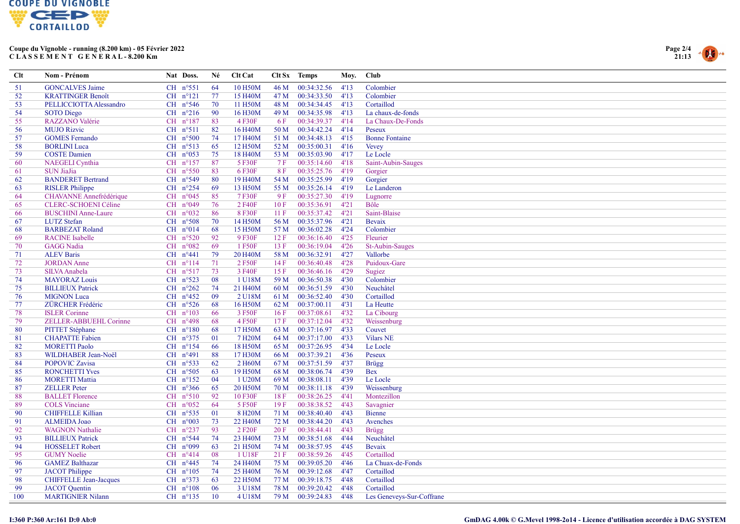



| Clt | Nom - Prénom                  | Nat Doss.           | Né  | Clt Cat              |      | Clt Sx Temps | Moy. | <b>Club</b>               |
|-----|-------------------------------|---------------------|-----|----------------------|------|--------------|------|---------------------------|
| 51  | <b>GONCALVES Jaime</b>        | $CH$ n°551          | 64  | 10 H50M              | 46 M | 00:34:32.56  | 4'13 | Colombier                 |
| 52  | <b>KRATTINGER Benoît</b>      | $CH$ $n^{\circ}121$ | 77  | 15 H40M              | 47 M | 00:34:33.50  | 4'13 | Colombier                 |
| 53  | PELLICCIOTTA Alessandro       | CH $n^{\circ}546$   | 70  | 11 H50M              | 48 M | 00:34:34.45  | 4'13 | Cortaillod                |
| 54  | <b>SOTO</b> Diego             | CH $n^{\circ}216$   | 90  | 16 H30M              | 49 M | 00:34:35.98  | 4'13 | La chaux-de-fonds         |
| 55  | RAZZANO Valérie               | $CH$ n°187          | 83  | 4 F30F               | 6 F  | 00:34:39.37  | 4'14 | La Chaux-De-Fonds         |
| 56  | <b>MUJO Rizvic</b>            | $CH$ $n^{\circ}511$ | 82  | 16 H <sub>40</sub> M | 50 M | 00:34:42.24  | 4'14 | Peseux                    |
| 57  | <b>GOMES</b> Fernando         | $CH$ $n^{\circ}500$ | 74  | 17 H40M              | 51 M | 00:34:48.13  | 4'15 | <b>Bonne Fontaine</b>     |
| 58  | <b>BORLINI</b> Luca           | CH $n^{\circ}513$   | 65  | 12 H50M              | 52 M | 00:35:00.31  | 4'16 | <b>Vevey</b>              |
| 59  | <b>COSTE Damien</b>           | CH $n^{\circ}053$   | 75  | 18 H40M              | 53 M | 00:35:03.90  | 4'17 | Le Locle                  |
| 60  | NAEGELI Cynthia               | CH $n^{\circ}157$   | 87  | 5 F30F               | 7F   | 00:35:14.60  | 4'18 | Saint-Aubin-Sauges        |
| 61  | <b>SUN JiaJia</b>             | CH $n^{\circ}550$   | 83  | 6 F30F               | 8F   | 00:35:25.76  | 4'19 | Gorgier                   |
| 62  | <b>BANDERET Bertrand</b>      | CH $n^{\circ}549$   | 80  | 19 H40M              | 54 M | 00:35:25.99  | 4'19 | Gorgier                   |
| 63  | <b>RISLER Philippe</b>        | CH $n^{\circ}254$   | 69  | 13 H50M              | 55 M | 00:35:26.14  | 4'19 | Le Landeron               |
| 64  | CHAVANNE Annefrédérique       | $CH$ $n^{\circ}045$ | 85  | 7 F30F               | 9F   | 00:35:27.30  | 4'19 | Lugnorre                  |
| 65  | <b>CLERC-SCHOENI Céline</b>   | CH n°049            | 76  | 2 F40F               | 10F  | 00:35:36.91  | 4'21 | Bôle                      |
| 66  | <b>BUSCHINI Anne-Laure</b>    | CH $n°032$          | 86  | 8 F30F               | 11F  | 00:35:37.42  | 4'21 | Saint-Blaise              |
| 67  | <b>LUTZ</b> Stefan            | $CH$ $n^{\circ}508$ | 70  | 14 H50M              | 56 M | 00:35:37.96  | 4'21 | Bevaix                    |
| 68  | <b>BARBEZAT Roland</b>        | $CH$ $n^{\circ}014$ | 68  | 15 H50M              | 57 M | 00:36:02.28  | 4'24 | Colombier                 |
| 69  | <b>RACINE</b> Isabelle        | CH $n^{\circ}520$   | 92  | 9 F30F               | 12 F | 00:36:16.40  | 4'25 | Fleurier                  |
| 70  | <b>GAGG Nadia</b>             | CH $n^{\circ}082$   | 69  | 1 F50F               | 13 F | 00:36:19.04  | 4'26 | St-Aubin-Sauges           |
| 71  | <b>ALEV Baris</b>             | $CH$ $n^{\circ}441$ | 79  | 20 H40M              | 58 M | 00:36:32.91  | 4'27 | Vallorbe                  |
| 72  | <b>JORDAN</b> Anne            | $CH$ $n^{\circ}114$ | 71  | 2 F50F               | 14F  | 00:36:40.48  | 4'28 | Puidoux-Gare              |
| 73  | <b>SILVA Anabela</b>          | CH $n°517$          | 73  | 3 F40F               | 15F  | 00:36:46.16  | 4'29 | Sugiez                    |
| 74  | <b>MAYORAZ Louis</b>          | CH $n^{\circ}523$   | 08  | 1 U18M               | 59 M | 00:36:50.38  | 4'30 | Colombier                 |
| 75  | <b>BILLIEUX Patrick</b>       | CH $n^{\circ}262$   | 74  | 21 H40M              | 60 M | 00:36:51.59  | 4'30 | Neuchâtel                 |
| 76  | <b>MIGNON Luca</b>            | $CH$ $n^{\circ}452$ | -09 | 2 U18M               | 61 M | 00:36:52.40  | 4'30 | Cortaillod                |
| 77  | ZÜRCHER Frédéric              | CH $n^{\circ}526$   | 68  | 16 H50M              | 62 M | 00:37:00.11  | 4'31 | La Heutte                 |
| 78  | <b>ISLER</b> Corinne          | CH $n^{\circ}103$   | -66 | 3 F50F               | 16F  | 00:37:08.61  | 4'32 | La Cibourg                |
| 79  | ZELLER-ABBUEHL Corinne        | CH $n^{\circ}498$   | 68  | 4 F50F               | 17F  | 00:37:12.04  | 4'32 | Weissenburg               |
| 80  | <b>PITTET Stéphane</b>        | $CH$ $n^{\circ}180$ | 68  | 17 H50M              | 63 M | 00:37:16.97  | 4'33 | Couvet                    |
| 81  | <b>CHAPATTE Fabien</b>        | CH n°375            | 01  | 7 H <sub>20</sub> M  | 64 M | 00:37:17.00  | 4'33 | <b>Vilars NE</b>          |
| 82  | <b>MORETTI Paolo</b>          | $CH$ $n^{\circ}154$ | 66  | 18 H50M              | 65 M | 00:37:26.95  | 4'34 | Le Locle                  |
| 83  | WILDHABER Jean-Noël           | CH $n^{\circ}491$   | 88  | 17 H30M              | 66 M | 00:37:39.21  | 4'36 | Peseux                    |
| 84  | <b>POPOVIC Zavisa</b>         | CH $n^{\circ}$ 533  | 62  | 2 H60M               | 67 M | 00:37:51.59  | 4'37 | <b>Brügg</b>              |
| 85  | <b>RONCHETTI Yves</b>         | CH $n^{\circ}505$   | 63  | 19 H50M              | 68 M | 00:38:06.74  | 4'39 | <b>Bex</b>                |
| 86  | <b>MORETTI Mattia</b>         | CH $n^{\circ}152$   | 04  | 1 U20M               | 69 M | 00:38:08.11  | 4'39 | Le Locle                  |
| 87  | <b>ZELLER</b> Peter           | CH $n^{\circ}366$   | 65  | 20 H50M              | 70 M | 00:38:11.18  | 4'39 | Weissenburg               |
| 88  | <b>BALLET Florence</b>        | $CH$ $n^{\circ}510$ | 92  | 10 F30F              | 18F  | 00:38:26.25  | 4'41 | Montezillon               |
| 89  | <b>COLS</b> Vinciane          | CH n°052            | 64  | 5 F50F               | 19F  | 00:38:38.52  | 4'43 | Savagnier                 |
| 90  | <b>CHIFFELLE Killian</b>      | CH $n^{\circ}$ 535  | 01  | 8 H <sub>20</sub> M  | 71 M | 00:38:40.40  | 4'43 | Bienne                    |
| 91  | <b>ALMEIDA Joao</b>           | CH $n°003$          | 73  | 22 H40M              | 72 M | 00:38:44.20  | 4'43 | Avenches                  |
| 92  | <b>WAGNON Nathalie</b>        | CH $n^{\circ}237$   | 93  | 2 F <sub>20</sub> F  | 20 F | 00:38:44.41  | 4'43 | <b>Brügg</b>              |
| 93  | <b>BILLIEUX Patrick</b>       | CH $n^{\circ}$ 544  | 74  | 23 H40M              | 73 M | 00:38:51.68  | 4'44 | Neuchâtel                 |
| 94  | <b>HOSSELET Robert</b>        | CH n°099            | 63  | 21 H50M              | 74 M | 00:38:57.95  | 4'45 | Bevaix                    |
| 95  | <b>GUMY Noelie</b>            | $CH$ $n^{\circ}414$ | 08  | 1 U18F               | 21F  | 00:38:59.26  | 4'45 | Cortaillod                |
| 96  | <b>GAMEZ Balthazar</b>        | $CH$ n°445          | 74  | 24 H <sub>40</sub> M | 75 M | 00:39:05.20  | 4'46 | La Chuax-de-Fonds         |
| 97  | <b>JACOT</b> Philippe         | $CH$ $n^{\circ}105$ | 74  | 25 H40M              | 76 M | 00:39:12.68  | 4'47 | Cortaillod                |
| 98  | <b>CHIFFELLE Jean-Jacques</b> | CH $n^{\circ}373$   | 63  | 22 H50M              | 77 M | 00:39:18.75  | 4'48 | Cortaillod                |
| 99  | <b>JACOT</b> Quentin          | $CH$ $n^{\circ}108$ | 06  | 3 U18M               | 78 M | 00:39:20.42  | 4'48 | Cortaillod                |
| 100 | <b>MARTIGNIER Nilann</b>      | CH $n^{\circ}$ 135  | 10  | 4 U18M               | 79 M | 00:39:24.83  | 4'48 | Les Geneveys-Sur-Coffrane |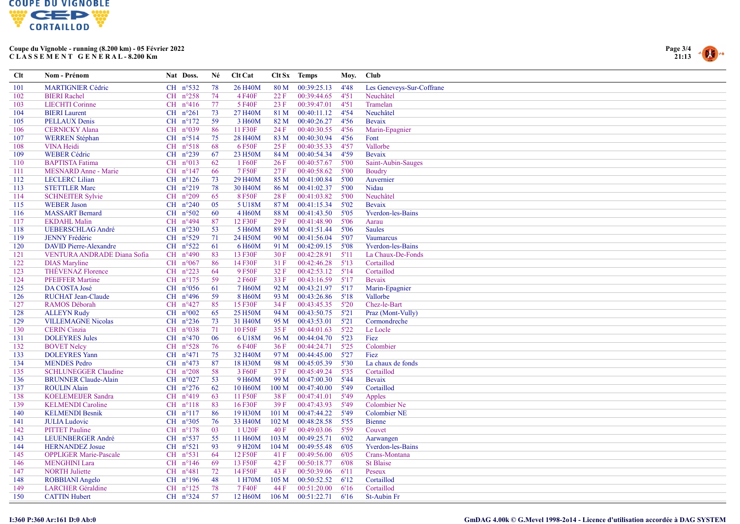



| Clt | Nom - Prénom                  | Nat Doss.           | Né  | Clt Cat              |                  | Clt Sx Temps | Moy. | Club                      |
|-----|-------------------------------|---------------------|-----|----------------------|------------------|--------------|------|---------------------------|
| 101 | <b>MARTIGNIER Cédric</b>      | CH $n^{\circ}532$   | 78  | 26 H <sub>40</sub> M | 80 M             | 00:39:25.13  | 4'48 | Les Geneveys-Sur-Coffrane |
| 102 | <b>BIERI</b> Rachel           | CH $n^{\circ}258$   | 74  | 4 F40F               | 22 F             | 00:39:44.65  | 4'51 | Neuchâtel                 |
| 103 | <b>LIECHTI</b> Corinne        | $CH$ $n^{\circ}416$ | 77  | 5 F40F               | 23 F             | 00:39:47.01  | 4'51 | Tramelan                  |
| 104 | <b>BIERI</b> Laurent          | CH $n^{\circ}261$   | 73  | 27 H40M              | 81 M             | 00:40:11.12  | 4'54 | Neuchâtel                 |
| 105 | <b>PELLAUX Denis</b>          | $CH$ $n^{\circ}172$ | 59  | 3 H60M               | 82 M             | 00:40:26.27  | 4'56 | Bevaix                    |
| 106 | <b>CERNICKY Alana</b>         | CH $n°039$          | 86  | 11 F30F              | 24 F             | 00:40:30.55  | 4'56 | Marin-Epagnier            |
| 107 | <b>WERREN</b> Stéphan         | $CH$ n°514          | 75  | 28 H <sub>40</sub> M | 83 M             | 00:40:30.94  | 4'56 | Font                      |
| 108 | <b>VINA Heidi</b>             | $CH$ $n^{\circ}518$ | 68  | 6 F50F               | 25 F             | 00:40:35.33  | 4'57 | Vallorbe                  |
| 109 | <b>WEBER Cédric</b>           | $CH$ $n^{\circ}239$ | 67  | 23 H50M              | 84 M             | 00:40:54.34  | 4'59 | Bevaix                    |
| 110 | <b>BAPTISTA</b> Fatima        | $CH$ $n^{\circ}013$ | 62  | 1 F60F               | 26F              | 00:40:57.67  | 5'00 | Saint-Aubin-Sauges        |
| 111 | <b>MESNARD Anne - Marie</b>   | $CH$ $n^{\circ}147$ | 66  | 7 F50F               | 27F              | 00:40:58.62  | 5'00 | Boudry                    |
| 112 | <b>LECLERC</b> Lilian         | $CH$ $n^{\circ}126$ | 73  | 29 H40M              | 85 M             | 00:41:00.84  | 5'00 | Auvernier                 |
| 113 | <b>STETTLER Marc</b>          | $CH$ $n^{\circ}219$ | 78  | 30 H <sub>40</sub> M | 86 M             | 00:41:02.37  | 5'00 | Nidau                     |
| 114 | <b>SCHNEITER Sylvie</b>       | CH $n^{\circ}209$   | 65  | 8F50F                | 28 F             | 00:41:03.82  | 5'00 | Neuchâtel                 |
| 115 | <b>WEBER Jason</b>            | CH $n^{\circ}240$   | 05  | 5 U18M               | 87 M             | 00:41:15.34  | 5'02 | Bevaix                    |
| 116 | <b>MASSART</b> Bernard        | CH $n^{\circ}502$   | 60  | 4 H60M               | 88 M             | 00:41:43.50  | 5'05 | Yverdon-les-Bains         |
| 117 | <b>EKDAHL Malin</b>           | CH n°494            | 87  | 12 F30F              | 29F              | 00:41:48.90  | 5'06 | Aarau                     |
| 118 | <b>UEBERSCHLAG André</b>      | CH $n^{\circ}230$   | 53  | 5 H60M               | 89 M             | 00:41:51.44  | 5'06 | Saules                    |
| 119 | <b>JENNY Frédéric</b>         | CH $n^{\circ}529$   | 71  | 24 H50M              | 90 M             | 00:41:56.04  | 5'07 | <b>Vaumarcus</b>          |
| 120 | <b>DAVID Pierre-Alexandre</b> | $CH$ n°522          | 61  | 6 H60M               | 91 M             | 00:42:09.15  | 5'08 | <b>Yverdon-les-Bains</b>  |
| 121 | VENTURA ANDRADE Diana Sofia   | CH $n^{\circ}490$   | 83  | 13 F30F              | 30F              | 00:42:28.91  | 5'11 | La Chaux-De-Fonds         |
| 122 | <b>DIAS</b> Maryline          | CH $n°067$          | 86  | 14 F30F              | 31 F             | 00:42:46.28  | 5'13 | Cortaillod                |
| 123 | <b>THÉVENAZ Florence</b>      | $CH$ $n^{\circ}223$ | 64  | 9 F50F               | 32 F             | 00:42:53.12  | 5'14 | Cortaillod                |
| 124 | <b>PFEIFFER Martine</b>       | CH $n^{\circ}175$   | -59 | 2 F60F               | 33 F             | 00:43:16.59  | 5'17 | Bevaix                    |
| 125 | DA COSTA José                 | CH $n^{\circ}056$   | 61  | 7 H60M               | 92 M             | 00:43:21.97  | 5'17 | Marin-Epagnier            |
| 126 | <b>RUCHAT Jean-Claude</b>     | CH n°496            | 59  | 8 H60M               | 93 M             | 00:43:26.86  | 5'18 | Vallorbe                  |
| 127 | <b>RAMOS Déborah</b>          | CH n°427            | 85  | 15 F30F              | 34 F             | 00:43:45.35  | 5'20 | Chez-le-Bart              |
| 128 | <b>ALLEYN Rudy</b>            | CH n°002            | 65  | 25 H50M              | 94 M             | 00:43:50.75  | 5'21 | Praz (Mont-Vully)         |
| 129 | <b>VILLEMAGNE Nicolas</b>     | CH $n^{\circ}236$   | 73  | 31 H40M              | 95 M             | 00:43:53.01  | 5'21 | Cormondreche              |
| 130 | <b>CERIN</b> Cinzia           | CH $n°038$          | 71  | 10 F50F              | 35 F             | 00:44:01.63  | 5'22 | Le Locle                  |
| 131 | <b>DOLEYRES</b> Jules         | CH $n^{\circ}470$   | 06  | 6 U18M               | 96 M             | 00:44:04.70  | 5'23 | Fiez                      |
| 132 | <b>BOVET Nelcy</b>            | CH $n^{\circ}528$   | 76  | 6 F40F               | 36F              | 00:44:24.71  | 5'25 | Colombier                 |
| 133 | <b>DOLEYRES Yann</b>          | CH n°471            | 75  | 32 H40M              | 97 M             | 00:44:45.00  | 5'27 | Fiez                      |
| 134 | <b>MENDES</b> Pedro           | CH $n^{\circ}473$   | 87  | 18 H30M              | 98 M             | 00:45:05.39  | 5'30 | La chaux de fonds         |
| 135 | <b>SCHLUNEGGER Claudine</b>   | $CH$ $n^{\circ}208$ | 58  | 3 F60F               | 37F              | 00:45:49.24  | 5'35 | Cortaillod                |
| 136 | <b>BRUNNER Claude-Alain</b>   | CH $n°027$          | 53  | 9 H60M               | 99 M             | 00:47:00.30  | 5'44 | Bevaix                    |
| 137 | <b>ROULIN Alain</b>           | CH $n^{\circ}276$   | 62  | 10 H60M              | 100 M            | 00:47:40.00  | 5'49 | Cortaillod                |
| 138 | <b>KOELEMEIJER Sandra</b>     | CH $n^{\circ}419$   | 63  | 11 F50F              | 38 F             | 00:47:41.01  | 5'49 | Apples                    |
| 139 | <b>KELMENDI</b> Caroline      | $CH$ $n^{\circ}118$ | 83  | 16 F30F              | 39F              | 00:47:43.93  | 5'49 | <b>Colombier Ne</b>       |
| 140 | <b>KELMENDI Besnik</b>        | $CH$ $n^{\circ}117$ | 86  | 19 H30M              | 101 M            | 00:47:44.22  | 5'49 | <b>Colombier NE</b>       |
| 141 | <b>JULIA Ludovic</b>          | CH $n^{\circ}305$   | 76  | 33 H40M              | 102 M            | 00:48:28.58  | 5'55 | Bienne                    |
| 142 | <b>PITTET</b> Pauline         | $CH$ n°178          | 03  | 1 U20F               | 40F              | 00:49:03.06  | 5'59 | Couvet                    |
| 143 | LEUENBERGER André             | CH $n^{\circ}537$   | 55  | 11 H60M              | 103 M            | 00:49:25.71  | 6'02 | Aarwangen                 |
| 144 | <b>HERNANDEZ</b> Josue        | $CH$ n°521          | 93  | 9 H <sub>20</sub> M  | 104 M            | 00:49:55.48  | 6'05 | Yverdon-les-Bains         |
| 145 | <b>OPPLIGER Marie-Pascale</b> | $CH$ $n^{\circ}531$ | 64  | 12 F50F              | 41 F             | 00:49:56.00  | 6'05 | Crans-Montana             |
| 146 | <b>MENGHINI Lara</b>          | $CH$ $n^{\circ}146$ | 69  | 13 F50F              | 42 F             | 00:50:18.77  | 6'08 | <b>St Blaise</b>          |
| 147 | <b>NORTH</b> Juliette         | CH $n^{\circ}481$   | 72  | 14 F50F              | 43 F             | 00:50:39.06  | 6'11 | Peseux                    |
| 148 | ROBBIANI Angelo               | CH $n^{\circ}196$   | 48  | 1 H70M               | 105 <sub>M</sub> | 00:50:52.52  | 6'12 | Cortaillod                |
| 149 | <b>LARCHER</b> Géraldine      | CH $n^{\circ}125$   | 78  | 7 F40F               | 44 F             | 00:51:20.00  | 6'16 | Cortaillod                |
| 150 | <b>CATTIN Hubert</b>          | CH $n^{\circ}324$   | 57  | 12 H60M              | 106 <sub>M</sub> | 00:51:22.71  | 6'16 | St-Aubin Fr               |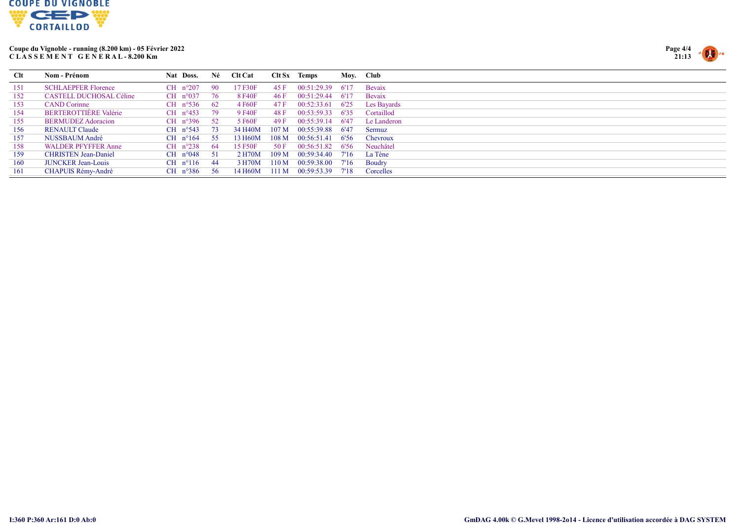



| <b>C</b> lt | Nom - Prénom                 | Nat Doss.                | Né   | <b>Clt Cat</b> | Clt Sx           | Temps       |       | Moy. Club     |
|-------------|------------------------------|--------------------------|------|----------------|------------------|-------------|-------|---------------|
| 151         | <b>SCHLAEPFER Florence</b>   | CH $n^{\circ}207$        | -90  | 17 F30F        | 45 F             | 00:51:29.39 | -6'17 | Bevaix        |
| 152         | CASTELL DUCHOSAL Céline      | CH $n^{\circ}037$        | -76  | 8 F40F         | 46 F             | 00:51:29.44 | -6'17 | Bevaix        |
| 153         | <b>CAND</b> Corinne          | $CH$ n°536               | - 62 | 4 F60F         | 47 F             | 00:52:33.61 | 6'25  | Les Bayards   |
| 154         | <b>BERTEROTTIÈRE Valérie</b> | $CH$ n°453               | -79  | 9 F40F         | 48 F             | 00:53:59.33 | 6'35  | Cortaillod    |
| 155         | BERMUDEZ Adoracion           | $CH$ n°396               | - 52 | 5 F60F         | 49 F             | 00:55:39.14 | -6'47 | Le Landeron   |
| 156         | RENAULT Claude               | $CH$ n°543               | - 73 | 34 H40M        | 107 <sub>M</sub> | 00:55:39.88 | -6'47 | Sermuz        |
| 157         | NUSSBAUM André               | $CH$ n°164               | - 55 | 13 H60M        | 108 M            | 00:56:51.41 | -6'56 | Chevroux      |
| 158         | <b>WALDER PFYFFER Anne</b>   | $CH$ n°238               | -64  | 15 F50F        | 50 F             | 00:56:51.82 | -6'56 | Neuchâtel     |
| 159         | <b>CHRISTEN Jean-Daniel</b>  | $CH \space n^{\circ}048$ | - 51 | 2 H70M         | 109 <sub>M</sub> | 00:59:34.40 | 7'16  | La Tène       |
| 160         | <b>JUNCKER Jean-Louis</b>    | $CH$ n°116               | -44  | 3 H70M         | 110 M            | 00:59:38.00 | 7'16  | <b>Boudry</b> |
| 161         | CHAPUIS Rémy-André           | $CH$ n°386               | - 56 | 14 H60M        | 111 M            | 00:59:53.39 | 7'18  | Corcelles     |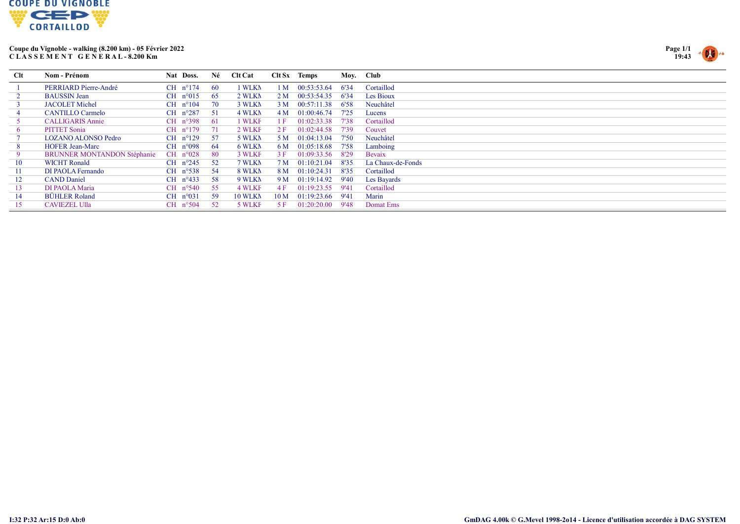



| Clt       | Nom - Prénom                       | Nat Doss.           | Né   | <b>Clt Cat</b> |                 | $Clt Sx$ Temps |       | Moy. Club         |
|-----------|------------------------------------|---------------------|------|----------------|-----------------|----------------|-------|-------------------|
|           | PERRIARD Pierre-André              | $CH$ n°174          | - 60 | 1 WLKN         | 1 M             | 00:53:53.64    | 6'34  | Cortaillod        |
|           | <b>BAUSSIN Jean</b>                | CH $n^{\circ}015$   | - 65 | 2 WLKN         | 2 M             | 00:53:54.35    | 6'34  | Les Bioux         |
|           | <b>JACOLET Michel</b>              | CH $n^{\circ}104$   | -70  | 3 WLKN         | 3 M             | 00:57:11.38    | 6'58  | Neuchâtel         |
|           | <b>CANTILLO Carmelo</b>            | CH $n^{\circ}287$   | - 51 | 4 WLKN         | 4 M             | 01:00:46.74    | 7'25  | Lucens            |
|           | <b>CALLIGARIS Annie</b>            | $CH$ n°398          | - 61 | 1 WLKF         | 1 F             | 01:02:33.38    | 7'38  | Cortaillod        |
| $\bullet$ | <b>PITTET Sonia</b>                | $CH$ n°179          | 71   | 2 WLKF         | 2 F             | 01:02:44.58    | 7'39  | Couvet            |
|           | <b>LOZANO ALONSO Pedro</b>         | CH $n^{\circ}129$   | - 57 | 5 WLKN         | 5 M             | 01:04:13.04    | 7'50  | Neuchâtel         |
| 8         | <b>HOFER Jean-Marc</b>             | CH $n^{\circ}098$   | - 64 | 6 WLKN         | 6 M             | 01:05:18.68    | 7'58  | Lamboing          |
|           | <b>BRUNNER MONTANDON Stéphanie</b> | CH $n^{\circ}028$   | - 80 | 3 WLKF         | 3 F             | 01:09:33.56    | 8'29  | Bevaix            |
| 10        | <b>WICHT Ronald</b>                | CH $n^{\circ}245$   | 52   | 7 WLKN         | 7 M             | 01:10:21.04    | 8'35  | La Chaux-de-Fonds |
| 11        | DI PAOLA Fernando                  | $CH$ n°538          | - 54 | 8 WLKN         | 8 M             | 01:10:24.31    | 8'35  | Cortaillod        |
| 12        | <b>CAND</b> Daniel                 | CH $n^{\circ}433$   | -58  | 9 WLKN         | 9 M             | 01:19:14.92    | 9'40  | Les Bayards       |
| 13        | DI PAOLA Maria                     | CH $n^{\circ}540$   | 55   | 4 WLKF         | 4 F             | 01:19:23.55    | -9'41 | Cortaillod        |
| 14        | <b>BÜHLER Roland</b>               | $CH$ $n^{\circ}031$ | -59  | 10 WLKN        | 10 <sub>M</sub> | 01:19:23.66    | 9'41  | Marin             |
| 15        | <b>CAVIEZEL Ulla</b>               | CH $n^{\circ}504$   | -52  | 5 WLKF         | 5 F             | 01:20:20.00    | 9'48  | Domat Ems         |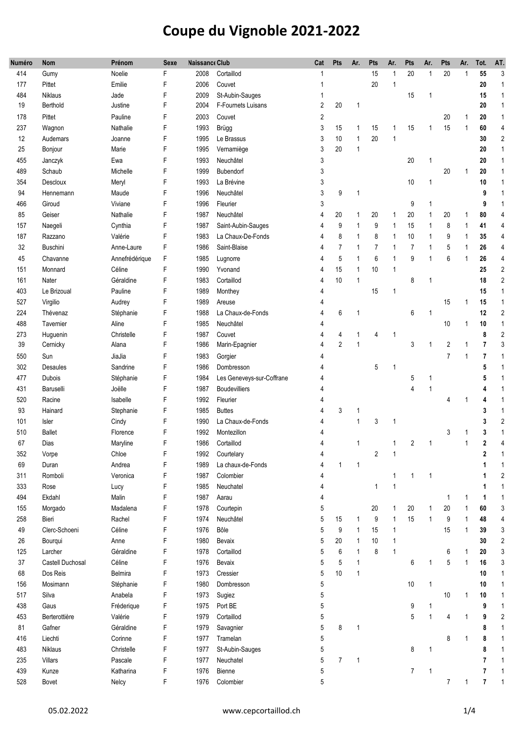| Numéro | <b>Nom</b>       | Prénom         | Sexe | <b>Naissance Club</b> |                           | Cat | Pts            | Ar.          | Pts            | Ar.          | Pts            | Ar.          | Pts                     | Ar.          | Tot.                    | AT.            |
|--------|------------------|----------------|------|-----------------------|---------------------------|-----|----------------|--------------|----------------|--------------|----------------|--------------|-------------------------|--------------|-------------------------|----------------|
| 414    | Gumy             | Noelie         | F    | 2008                  | Cortaillod                | 1   |                |              | 15             |              | 20             | 1            | 20                      | $\mathbf{1}$ | 55                      | 3              |
| 177    | Pittet           | Emilie         | F    | 2006                  | Couvet                    | 1   |                |              | 20             | $\mathbf{1}$ |                |              |                         |              | 20                      | $\mathbf{1}$   |
| 484    | Niklaus          | Jade           | F    | 2009                  | St-Aubin-Sauges           |     |                |              |                |              | 15             | $\mathbf{1}$ |                         |              | 15                      | $\mathbf{1}$   |
| 19     | Berthold         | Justine        | F    | 2004                  | F-Fournets Luisans        | 2   | 20             | 1            |                |              |                |              |                         |              | 20                      | $\mathbf{1}$   |
| 178    | Pittet           | Pauline        | F    | 2003                  | Couvet                    | 2   |                |              |                |              |                |              | 20                      | 1            | 20                      | $\mathbf{1}$   |
| 237    | Wagnon           | Nathalie       | F    | 1993                  | <b>Brügg</b>              | 3   | 15             | 1            | 15             | 1            | 15             | 1            | 15                      | 1            | 60                      | 4              |
| 12     | Audemars         | Joanne         | F    | 1995                  | Le Brassus                | 3   | 10             | $\mathbf{1}$ | 20             | $\mathbf{1}$ |                |              |                         |              | 30                      | $\overline{2}$ |
| 25     | Bonjour          | Marie          | F    | 1995                  | Vernamiège                | 3   | 20             | $\mathbf{1}$ |                |              |                |              |                         |              | 20                      | $\mathbf{1}$   |
| 455    | Janczyk          | Ewa            | F    | 1993                  | Neuchâtel                 | 3   |                |              |                |              | 20             | 1            |                         |              | 20                      | $\mathbf{1}$   |
| 489    | Schaub           | Michelle       | F    | 1999                  | Bubendorf                 | 3   |                |              |                |              |                |              | 20                      | 1            | 20                      | $\mathbf{1}$   |
| 354    | Descloux         | Meryl          | F    | 1993                  | La Brévine                | 3   |                |              |                |              | 10             | $\mathbf{1}$ |                         |              | 10                      | $\mathbf{1}$   |
| 94     | Hennemann        | Maude          | F    | 1996                  | Neuchâtel                 | 3   | 9              | $\mathbf{1}$ |                |              |                |              |                         |              | 9                       | $\mathbf{1}$   |
| 466    | Giroud           | Viviane        | F    | 1996                  | Fleurier                  | 3   |                |              |                |              | 9              | 1            |                         |              | 9                       | $\overline{1}$ |
| 85     | Geiser           | Nathalie       | F    | 1987                  | Neuchâtel                 | 4   | 20             | 1            | 20             |              | 20             | 1            | 20                      | 1            | 80                      | 4              |
| 157    | Naegeli          | Cynthia        | F    | 1987                  | Saint-Aubin-Sauges        | 4   | 9              | $\mathbf{1}$ | 9              | 1            | 15             | 1            | 8                       | 1            | 41                      | $\overline{4}$ |
| 187    | Razzano          | Valérie        | F    | 1983                  | La Chaux-De-Fonds         | 4   | 8              | $\mathbf{1}$ | 8              | 1            | 10             | 1            | 9                       | 1            | 35                      | 4              |
| 32     | Buschini         | Anne-Laure     | F    | 1986                  | Saint-Blaise              | 4   | $\overline{7}$ | 1            | $\overline{7}$ | 1            | $\overline{7}$ | 1            | 5                       | 1            | 26                      | 4              |
| 45     | Chavanne         | Annefrédérique | F    | 1985                  | Lugnorre                  | 4   | 5              | 1            | 6              | 1            | 9              | 1            | 6                       | 1            | 26                      | 4              |
| 151    | Monnard          | Céline         | F    | 1990                  | Yvonand                   | 4   | 15             | $\mathbf{1}$ | 10             | 1            |                |              |                         |              | 25                      | $\overline{2}$ |
| 161    | Nater            | Géraldine      | F    | 1983                  | Cortaillod                | 4   | 10             | $\mathbf{1}$ |                |              | 8              | 1            |                         |              | 18                      | $\sqrt{2}$     |
| 403    | Le Brizoual      | Pauline        | F    | 1989                  | Monthey                   | 4   |                |              | 15             | 1            |                |              |                         |              | 15                      | $\mathbf{1}$   |
| 527    | Virgilio         | Audrey         | F    | 1989                  | Areuse                    | 4   |                |              |                |              |                |              | 15                      | 1            | 15                      | $\mathbf{1}$   |
| 224    | Thévenaz         | Stéphanie      | F    | 1988                  | La Chaux-de-Fonds         | 4   | 6              | 1            |                |              | 6              | 1            |                         |              | 12                      | $\overline{2}$ |
| 488    | Tavernier        | Aline          | F    | 1985                  | Neuchâtel                 | 4   |                |              |                |              |                |              | 10                      | 1            | 10                      | $\overline{1}$ |
| 273    | Huguenin         | Christelle     | F    | 1987                  | Couvet                    | 4   | 4              | 1            | 4              | -1           |                |              |                         |              | 8                       | $\overline{2}$ |
| 39     | Cernicky         | Alana          | F    | 1986                  | Marin-Epagnier            | 4   | $\overline{2}$ | 1            |                |              | 3              | 1            | $\overline{\mathbf{c}}$ | $\mathbf{1}$ | $\overline{7}$          | 3              |
| 550    | Sun              | JiaJia         | F    | 1983                  | Gorgier                   | 4   |                |              |                |              |                |              | $\overline{7}$          | $\mathbf{1}$ | $\overline{7}$          | $\overline{1}$ |
| 302    | Desaules         | Sandrine       | F    | 1986                  | Dombresson                | 4   |                |              | 5              | -1           |                |              |                         |              | 5                       | $\overline{1}$ |
| 477    | Dubois           | Stéphanie      | F    | 1984                  | Les Geneveys-sur-Coffrane | 4   |                |              |                |              | 5              | 1            |                         |              | 5                       | $\overline{1}$ |
| 431    | Baruselli        | Joëlle         | F    | 1987                  | <b>Boudevilliers</b>      |     |                |              |                |              | 4              | 1            |                         |              |                         | $\overline{1}$ |
| 520    | Racine           | Isabelle       | F    | 1992                  | Fleurier                  | 4   |                |              |                |              |                |              | 4                       | 1            | Δ                       | $\overline{1}$ |
| 93     | Hainard          | Stephanie      | F    | 1985                  | <b>Buttes</b>             | 4   | 3              | 1            |                |              |                |              |                         |              | 3                       | $\overline{1}$ |
| 101    | Isler            | Cindy          | F    | 1990                  | La Chaux-de-Fonds         | 4   |                | 1            | 3              | 1            |                |              |                         |              | 3                       | $\overline{2}$ |
| 510    | <b>Ballet</b>    | Florence       | F    | 1992                  | Montezillon               | 4   |                |              |                |              |                |              | 3                       |              | 3                       | $\mathbf{1}$   |
| 67     | Dias             | Maryline       | F    | 1986                  | Cortaillod                | 4   |                | 1            |                |              | $\overline{2}$ | 1            |                         | 1            | $\overline{\mathbf{c}}$ | 4              |
| 352    | Vorpe            | Chloe          | F    | 1992                  | Courtelary                | 4   |                |              | $\overline{c}$ | 1            |                |              |                         |              | 2                       | 1              |
| 69     | Duran            | Andrea         | F    | 1989                  | La chaux-de-Fonds         | 4   | $\mathbf{1}$   | $\mathbf{1}$ |                |              |                |              |                         |              | 1                       | $\overline{1}$ |
| 311    | Romboli          | Veronica       | F    | 1987                  | Colombier                 | 4   |                |              |                | $\mathbf{1}$ | 1              | 1            |                         |              | 1                       | $\overline{2}$ |
| 333    | Rose             | Lucy           | F    | 1985                  | Neuchatel                 | 4   |                |              | $\mathbf{1}$   | $\mathbf{1}$ |                |              |                         |              | 1                       | $\mathbf{1}$   |
| 494    | Ekdahl           | Malin          | F    | 1987                  | Aarau                     | 4   |                |              |                |              |                |              | 1                       | 1            | 1                       | $\mathbf{1}$   |
| 155    | Morgado          | Madalena       | F    | 1978                  | Courtepin                 | 5   |                |              | 20             | 1            | 20             | 1            | 20                      | 1            | 60                      | 3              |
| 258    | Bieri            | Rachel         | F    | 1974                  | Neuchâtel                 | 5   | 15             | 1            | 9              | $\mathbf{1}$ | 15             | $\mathbf{1}$ | 9                       | $\mathbf{1}$ | 48                      | $\overline{4}$ |
| 49     | Clerc-Schoeni    | Céline         | F    | 1976                  | Bôle                      | 5   | 9              | $\mathbf{1}$ | 15             | 1            |                |              | 15                      | 1            | 39                      | 3              |
| $26\,$ | Bourqui          | Anne           | F    | 1980                  | Bevaix                    | 5   | 20             | $\mathbf{1}$ | 10             | 1            |                |              |                         |              | 30                      | $\overline{c}$ |
| 125    | Larcher          | Géraldine      | F    | 1978                  | Cortaillod                | 5   | 6              | $\mathbf{1}$ | 8              | $\mathbf{1}$ |                |              | 6                       | -1           | 20                      | 3              |
| 37     | Castell Duchosal | Céline         | F    | 1976                  | Bevaix                    | 5   | 5              | $\mathbf{1}$ |                |              | 6              | 1            | 5                       | $\mathbf{1}$ | 16                      | 3              |
| 68     | Dos Reis         | Belmira        | F    | 1973                  | Cressier                  | 5   | 10             | $\mathbf{1}$ |                |              |                |              |                         |              | 10                      | $\mathbf{1}$   |
| 156    | Mosimann         | Stéphanie      | F    | 1980                  | Dombresson                | 5   |                |              |                |              | 10             | $\mathbf{1}$ |                         |              | 10                      | $\mathbf{1}$   |
| 517    | Silva            | Anabela        | F    | 1973                  | Sugiez                    | 5   |                |              |                |              |                |              | 10                      | 1            | 10                      | $\overline{1}$ |
| 438    | Gaus             | Fréderique     | F    | 1975                  | Port BE                   | 5   |                |              |                |              | 9              | 1            |                         |              | 9                       | $\mathbf{1}$   |
| 453    | Berterottière    | Valérie        | F    | 1979                  | Cortaillod                | 5   |                |              |                |              | 5              | $\mathbf{1}$ | 4                       | 1            | 9                       | $\overline{2}$ |
| 81     | Gafner           | Géraldine      | F    | 1979                  | Savagnier                 | 5   | 8              | 1            |                |              |                |              |                         |              | 8                       | $\mathbf{1}$   |
| 416    | Liechti          | Corinne        | F    | 1977                  | Tramelan                  | 5   |                |              |                |              |                |              | 8                       | 1            | 8                       | $\mathbf 1$    |
| 483    | Niklaus          | Christelle     | F    | 1977                  | St-Aubin-Sauges           | 5   |                |              |                |              | 8              | 1            |                         |              | 8                       | $\mathbf 1$    |
| 235    | Villars          | Pascale        | F    | 1977                  | Neuchatel                 | 5   | $\overline{7}$ | $\mathbf{1}$ |                |              |                |              |                         |              | 7                       | $\mathbf{1}$   |
| 439    | Kunze            | Katharina      | F    | 1976                  | Bienne                    | 5   |                |              |                |              | $\overline{7}$ | $\mathbf{1}$ |                         |              | $\overline{7}$          | $\mathbf{1}$   |
| 528    | Bovet            | Nelcy          | F    | 1976                  | Colombier                 | 5   |                |              |                |              |                |              | $7\overline{ }$         | $\mathbf{1}$ | $\overline{7}$          | $\overline{1}$ |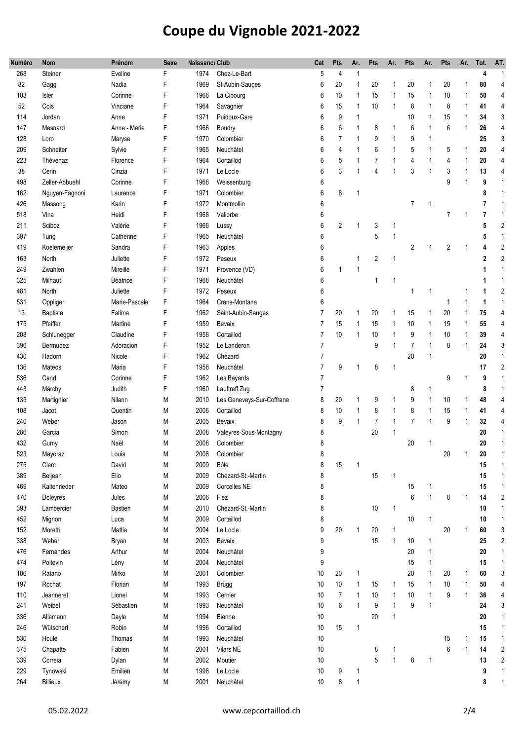| Numéro | <b>Nom</b>     | Prénom        | <b>Sexe</b> | <b>Naissance Club</b> |                           | Cat            | Pts            | Ar.          | <b>Pts</b>     | Ar.          | <b>Pts</b>     | Ar.          | <b>Pts</b> | Ar.          | Tot.       | AT.                     |
|--------|----------------|---------------|-------------|-----------------------|---------------------------|----------------|----------------|--------------|----------------|--------------|----------------|--------------|------------|--------------|------------|-------------------------|
| 268    | Steiner        | Eveline       | F           | 1974                  | Chez-Le-Bart              | 5              | 4              | 1            |                |              |                |              |            |              | 4          | $\mathbf{1}$            |
| 82     | Gagg           | Nadia         | F           | 1969                  | St-Aubin-Sauges           | 6              | 20             | 1            | 20             | 1            | 20             | 1            | 20         | 1            | 80         | $\overline{4}$          |
| 103    | Isler          | Corinne       | F           | 1966                  | La Cibourg                | 6              | 10             | 1            | 15             | 1            | 15             | 1            | 10         | $\mathbf{1}$ | 50         | $\overline{4}$          |
| 52     | Cols           | Vinciane      | F           | 1964                  | Savagnier                 | 6              | 15             | 1            | 10             | 1            | 8              | 1            | 8          | -1           | 41         | $\overline{4}$          |
| 114    | Jordan         | Anne          | F           | 1971                  | Puidoux-Gare              | 6              | 9              | 1            |                |              | 10             | 1            | 15         | -1           | 34         | 3                       |
| 147    | Mesnard        | Anne - Marie  | F           | 1966                  | Boudry                    | 6              | 6              | 1            | 8              | 1            | 6              | 1            | 6          | 1            | 26         | 4                       |
| 128    | Loro           | Maryse        | F           | 1970                  | Colombier                 | 6              | 7              | 1            | 9              | 1            | 9              | 1            |            |              | 25         | 3                       |
| 209    | Schneiter      | Sylvie        | F           | 1965                  | Neuchâtel                 | 6              | 4              | 1            | 6              | 1            | 5              | 1            | 5          | 1            | 20         | $\overline{4}$          |
| 223    | Thévenaz       | Florence      | F           | 1964                  | Cortaillod                | 6              | 5              | 1            | $\overline{7}$ | 1            | 4              | 1            | 4          | $\mathbf{1}$ | 20         | $\overline{4}$          |
| 38     | Cerin          | Cinzia        | F           | 1971                  | Le Locle                  | 6              | 3              | 1            | 4              | 1            | 3              | 1            | 3          | $\mathbf{1}$ | 13         | $\overline{4}$          |
| 498    | Zeller-Abbuehl | Corinne       | F           | 1968                  | Weissenburg               | 6              |                |              |                |              |                |              | 9          | $\mathbf{1}$ | 9          | $\overline{1}$          |
| 162    | Nguyen-Fagnoni | Laurence      | F           | 1971                  | Colombier                 | 6              | 8              | $\mathbf{1}$ |                |              |                |              |            |              | 8          | 1                       |
| 426    | Massong        | Karin         | F           | 1972                  | Montmollin                | 6              |                |              |                |              | $\overline{7}$ | 1            |            |              |            | -1                      |
| 518    | Vina           | Heidi         | F           | 1968                  | Vallorbe                  | 6              |                |              |                |              |                |              | 7          | $\mathbf 1$  | 7          | $\mathbf 1$             |
| 211    | Sciboz         | Valérie       | F           | 1968                  | Lussy                     | 6              | 2              | 1            | 3              | 1            |                |              |            |              | 5          | $\overline{c}$          |
| 397    | Tung           | Catherine     | F           | 1965                  | Neuchâtel                 | 6              |                |              | 5              | 1            |                |              |            |              | 5          | $\mathbf{1}$            |
| 419    | Koelemeijer    | Sandra        | F           | 1963                  | Apples                    | 6              |                |              |                |              | 2              | 1            | 2          | 1            | 4          | $\sqrt{2}$              |
| 163    | North          | Juliette      | F           | 1972                  | Peseux                    | 6              |                | 1            | 2              | 1            |                |              |            |              | 2          | $\overline{c}$          |
| 249    | Zwahlen        | Mireille      | F           | 1971                  | Provence (VD)             | 6              | 1              | 1            |                |              |                |              |            |              |            | $\mathbf{1}$            |
| 325    | Milhaut        | Béatrice      | F           | 1968                  | Neuchâtel                 | 6              |                |              | 1              | 1            |                |              |            |              |            | $\mathbf 1$             |
| 481    | North          | Juliette      | F           | 1972                  | Peseux                    | 6              |                |              |                |              | 1              | 1            |            | 1            | 1          | $\overline{c}$          |
| 531    | Oppliger       | Marie-Pascale | F           | 1964                  | Crans-Montana             | 6              |                |              |                |              |                |              | 1          | 1            | 1          | $\mathbf{1}$            |
| 13     | Baptista       | Fatima        | F           | 1962                  | Saint-Aubin-Sauges        | 7              | 20             | $\mathbf{1}$ | 20             | 1            | 15             | 1            | 20         | $\mathbf{1}$ | 75         | $\overline{4}$          |
| 175    | Pfeiffer       | Martine       | F           | 1959                  | Bevaix                    | 7              | 15             | 1            | 15             | 1            | 10             | 1            | 15         | $\mathbf{1}$ | 55         | $\overline{4}$          |
| 208    | Schlunegger    | Claudine      | F           | 1958                  | Cortaillod                | $\overline{7}$ | 10             | 1            | 10             | 1            | 9              | 1            | 10         | $\mathbf{1}$ | 39         | $\overline{4}$          |
| 396    | Bermudez       | Adoracion     | F           | 1952                  | Le Landeron               | $\overline{7}$ |                |              | 9              | 1            | $\overline{7}$ | 1            | 8          | $\mathbf{1}$ | 24         | 3                       |
| 430    | Hadorn         | Nicole        | F           | 1962                  | Chézard                   | 7              |                |              |                |              | 20             | 1            |            |              | 20         | $\mathbf{1}$            |
| 136    | Mateos         | Maria         | F           | 1958                  | Neuchâtel                 | 7              | 9              | 1            | 8              | 1            |                |              |            |              | 17         | $\overline{c}$          |
| 536    | Cand           | Corinne       | F           | 1962                  | Les Bayards               | 7              |                |              |                |              |                |              | 9          | 1            | 9          | $\mathbf 1$             |
| 443    | Märchy         | Judith        | F           | 1960                  | Lauftreff Zug             | 7              |                |              |                |              | 8              | 1            |            |              | 8          | $\mathbf 1$             |
| 135    | Martignier     | Nilann        | M           | 2010                  | Les Geneveys-Sur-Coffrane | 8              | 20             | 1            | 9              | 1            | 9              | $\mathbf{1}$ | 10         | 1            | 48         | $\overline{4}$          |
| 108    | Jacot          | Quentin       | M           | 2006                  | Cortaillod                | 8              | 10             | 1            | 8              | 1            | 8              | 1            | 15         | 1            | 41         | $\overline{4}$          |
| 240    | Weber          | Jason         | M           | 2005                  | Bevaix                    | 8              | 9              | $\mathbf{1}$ | $\overline{7}$ | 1            | $\overline{7}$ | 1            | 9          | 1            | 32         | 4                       |
| 286    | Garcia         | Simon         | M           | 2008                  | Valeyres-Sous-Montagny    | 8              |                |              | 20             | 1            |                |              |            |              | 20         | $\mathbf{1}$            |
| 432    | Gumy           | Naël          | M           | 2008                  | Colombier                 | 8              |                |              |                |              | 20             | 1            |            |              | 20         | $\overline{1}$          |
| 523    | Mayoraz        | Louis         | M           | 2008                  | Colombier                 | 8              |                |              |                |              |                |              | $20\,$     | 1            | ${\bf 20}$ | 1                       |
| 275    | Clerc          | David         | M           | 2009                  | Bôle                      | 8              | 15             | 1            |                |              |                |              |            |              | 15         | $\mathbf{1}$            |
| 389    | Beljean        | Elio          | M           | 2009                  | Chézard-St.-Martin        | 8              |                |              | 15             | $\mathbf{1}$ |                |              |            |              | 15         | $\mathbf{1}$            |
| 469    | Kaltenrieder   | Mateo         | M           | 2009                  | Corcelles NE              | 8              |                |              |                |              | 15             | 1            |            |              | 15         | $\mathbf{1}$            |
| 470    | Doleyres       | Jules         | M           | 2006                  | Fiez                      | 8              |                |              |                |              | 6              | $\mathbf{1}$ | 8          | $\mathbf{1}$ | 14         | $\overline{2}$          |
| 393    | Lambercier     | Bastien       | Μ           | 2010                  | Chézard-St.-Martin        | 8              |                |              | 10             | 1            |                |              |            |              | 10         | $\mathbf{1}$            |
| 452    | Mignon         | Luca          | M           | 2009                  | Cortaillod                | 8              |                |              |                |              | 10             | 1            |            |              | 10         | $\mathbf{1}$            |
| 152    | Moretti        | Mattia        | M           | 2004                  | Le Locle                  | 9              | $20\,$         | $\mathbf{1}$ | 20             | 1            |                |              | 20         | $\mathbf{1}$ | 60         | 3                       |
| 338    | Weber          | Bryan         | M           | 2003                  | Bevaix                    | 9              |                |              | 15             | $\mathbf{1}$ | 10             | 1            |            |              | 25         | $\overline{\mathbf{c}}$ |
| 476    | Fernandes      | Arthur        | М           | 2004                  | Neuchâtel                 | 9              |                |              |                |              | 20             | $\mathbf{1}$ |            |              | 20         | $\mathbf{1}$            |
| 474    | Poitevin       | Lény          | M           | 2004                  | Neuchâtel                 | 9              |                |              |                |              | 15             | $\mathbf{1}$ |            |              | 15         | $\mathbf{1}$            |
| 186    | Ratano         | Mirko         | M           | 2001                  | Colombier                 | 10             | 20             | $\mathbf{1}$ |                |              | 20             | $\mathbf{1}$ | 20         | $\mathbf 1$  | 60         | 3                       |
| 197    | Rochat         | Florian       | M           | 1993                  | Brügg                     | 10             | 10             | $\mathbf{1}$ | 15             | 1            | 15             | $\mathbf{1}$ | 10         | $\mathbf{1}$ | ${\bf 50}$ | 4                       |
| 110    | Jeanneret      | Lionel        | Μ           | 1993                  | Cernier                   | 10             | $\overline{7}$ | $\mathbf{1}$ | 10             | 1            | $10$           | $\mathbf{1}$ | 9          | $\mathbf{1}$ | 36         | $\overline{4}$          |
| 241    | Weibel         | Sébastien     | Μ           | 1993                  | Neuchâtel                 | 10             | 6              | $\mathbf{1}$ | 9              | 1            | 9              | 1            |            |              | 24         | 3                       |
| 336    | Allemann       | Dayle         | М           | 1994                  | Bienne                    | 10             |                |              | 20             | 1            |                |              |            |              | 20         | $\mathbf{1}$            |
| 246    | Wütschert      | Robin         | Μ           | 1996                  | Cortaillod                | 10             | 15             | 1            |                |              |                |              |            |              | 15         | $\mathbf{1}$            |
| 530    | Houle          | Thomas        | Μ           | 1993                  | Neuchâtel                 | 10             |                |              |                |              |                |              | 15         | 1            | 15         | $\mathbf{1}$            |
| 375    | Chapatte       | Fabien        | M           | 2001                  | Vilars NE                 | 10             |                |              | 8              | 1            |                |              | 6          | $\mathbf{1}$ | 14         | $\overline{2}$          |
| 339    | Correia        | Dylan         | M           | 2002                  | Moutier                   | 10             |                |              | 5              | $\mathbf{1}$ | 8              | $\mathbf{1}$ |            |              | 13         | $\overline{2}$          |
| 229    | Tynowski       | Emilien       | M           | 1998                  | Le Locle                  | 10             | 9              | 1            |                |              |                |              |            |              | 9          | $\mathbf{1}$            |
| 264    | Billieux       | Jérémy        | M           | 2001                  | Neuchâtel                 | $10$           | 8              | 1            |                |              |                |              |            |              | 8          | $\mathbf{1}$            |
|        |                |               |             |                       |                           |                |                |              |                |              |                |              |            |              |            |                         |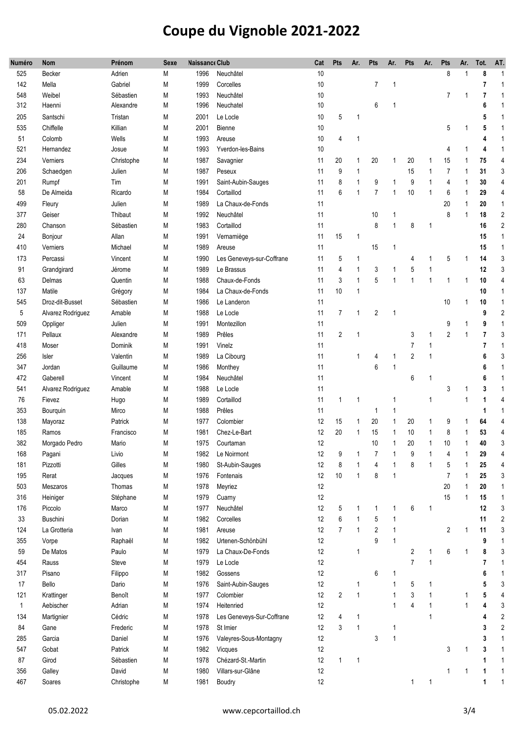| Numéro       | <b>Nom</b>        | Prénom     | <b>Sexe</b> | <b>Naissance Club</b> |                           |    | Pts            | Ar.          | Pts            | Ar.          | Pts            | Ar.          | Pts            | Ar.          | Tot.           | AT.            |
|--------------|-------------------|------------|-------------|-----------------------|---------------------------|----|----------------|--------------|----------------|--------------|----------------|--------------|----------------|--------------|----------------|----------------|
| 525          | Becker            | Adrien     | M           | 1996                  | Neuchâtel                 | 10 |                |              |                |              |                |              | 8              | 1            | 8              | $\mathbf{1}$   |
| 142          | Mella             | Gabriel    | M           | 1999                  | Corcelles                 | 10 |                |              | $\overline{7}$ | 1            |                |              |                |              | 7              | $\overline{1}$ |
| 548          | Weibel            | Sébastien  | M           | 1993                  | Neuchâtel                 | 10 |                |              |                |              |                |              | $\overline{7}$ | $\mathbf{1}$ | 7              | $\mathbf{1}$   |
| 312          | Haenni            | Alexandre  | M           | 1996                  | Neuchatel                 | 10 |                |              | 6              | 1            |                |              |                |              | 6              | $\mathbf{1}$   |
| 205          | Santschi          | Tristan    | M           | 2001                  | Le Locle                  | 10 | 5              | $\mathbf{1}$ |                |              |                |              |                |              | 5              | $\mathbf 1$    |
| 535          | Chiffelle         | Killian    | M           | 2001                  | Bienne                    | 10 |                |              |                |              |                |              | 5              |              | 5              | $\mathbf 1$    |
| 51           | Colomb            | Wells      | M           | 1993                  | Areuse                    | 10 | 4              | 1            |                |              |                |              |                |              | 4              | $\overline{1}$ |
| 521          | Hernandez         | Josue      | M           | 1993                  | Yverdon-les-Bains         | 10 |                |              |                |              |                |              | 4              | 1            | 4              | 1              |
| 234          | Verniers          | Christophe | M           | 1987                  | Savagnier                 | 11 | 20             | 1            | 20             | 1            | 20             | 1            | 15             | 1            | 75             | $\overline{4}$ |
| 206          | Schaedgen         | Julien     | M           | 1987                  | Peseux                    | 11 | 9              | 1            |                |              | 15             | 1            | $\overline{7}$ | 1            | 31             | 3              |
| 201          | Rumpf             | Tim        | M           | 1991                  | Saint-Aubin-Sauges        | 11 | 8              | 1            | 9              | 1            | 9              | 1            | 4              | 1            | 30             | $\overline{4}$ |
| 58           | De Almeida        | Ricardo    | M           | 1984                  | Cortaillod                | 11 | 6              | $\mathbf{1}$ | $\overline{7}$ | 1            | 10             | 1            | 6              | 1            | 29             | $\overline{4}$ |
| 499          | Fleury            | Julien     | M           | 1989                  | La Chaux-de-Fonds         | 11 |                |              |                |              |                |              | 20             | 1            | 20             | $\mathbf{1}$   |
| 377          | Geiser            | Thibaut    | M           | 1992                  | Neuchâtel                 | 11 |                |              | 10             | 1            |                |              | 8              | 1            | 18             | $\overline{2}$ |
| 280          | Chanson           | Sébastien  | M           | 1983                  | Cortaillod                | 11 |                |              | 8              | $\mathbf{1}$ | 8              | 1            |                |              | 16             | $\overline{2}$ |
| 24           | Bonjour           | Allan      | M           | 1991                  | Vernamiège                | 11 | 15             | $\mathbf{1}$ |                |              |                |              |                |              | 15             | $\mathbf{1}$   |
| 410          | Verniers          | Michael    | M           | 1989                  | Areuse                    | 11 |                |              | 15             | 1            |                |              |                |              | 15             | $\mathbf{1}$   |
| 173          | Percassi          | Vincent    | M           | 1990                  | Les Geneveys-sur-Coffrane | 11 | 5              | 1            |                |              | 4              | 1            | 5              | 1            | 14             | $\sqrt{3}$     |
| 91           | Grandgirard       | Jérome     | M           | 1989                  | Le Brassus                | 11 | 4              | 1            | 3              | 1            | 5              | 1            |                |              | 12             | 3              |
| 63           | Delmas            | Quentin    | M           | 1988                  | Chaux-de-Fonds            | 11 | 3              | $\mathbf{1}$ | 5              | $\mathbf{1}$ | 1              | $\mathbf{1}$ | 1              | 1            | 10             | 4              |
| 137          | Matile            | Grégory    | M           | 1984                  | La Chaux-de-Fonds         | 11 | 10             | 1            |                |              |                |              |                |              | 10             | $\mathbf{1}$   |
| 545          | Droz-dit-Busset   | Sébastien  | M           | 1986                  | Le Landeron               | 11 |                |              |                |              |                |              | 10             | 1            | 10             | $\mathbf{1}$   |
| 5            | Alvarez Rodriguez | Amable     | M           | 1988                  | Le Locle                  | 11 | $\overline{7}$ | 1            | $\mathbf{2}$   | 1            |                |              |                |              | 9              | $\overline{2}$ |
| 509          | Oppliger          | Julien     | M           | 1991                  | Montezillon               | 11 |                |              |                |              |                |              | 9              | 1            | 9              | $\mathbf{1}$   |
| 171          | Pellaux           | Alexandre  | M           | 1989                  | Prêles                    | 11 | $\overline{2}$ | $\mathbf{1}$ |                |              | 3              | 1            | $\overline{2}$ | 1            | $\overline{7}$ | 3              |
| 418          | Moser             | Dominik    | M           | 1991                  | Vinelz                    | 11 |                |              |                |              | 7              | 1            |                |              | $\overline{7}$ | $\overline{1}$ |
| 256          | Isler             | Valentin   | M           | 1989                  | La Cibourg                | 11 |                | 1            | 4              | 1            | $\overline{2}$ | $\mathbf{1}$ |                |              | 6              | 3              |
| 347          | Jordan            | Guillaume  | M           | 1986                  | Monthey                   | 11 |                |              | 6              | 1            |                |              |                |              | 6              | $\mathbf{1}$   |
| 472          | Gaberell          | Vincent    | M           | 1984                  | Neuchâtel                 | 11 |                |              |                |              | 6              | 1            |                |              | 6              | $\mathbf{1}$   |
| 541          | Alvarez Rodriguez | Amable     | M           | 1988                  | Le Locle                  | 11 |                |              |                |              |                |              | 3              | 1            | 3              | $\overline{1}$ |
| 76           | Fievez            | Hugo       | M           | 1989                  | Cortaillod                | 11 | $\mathbf{1}$   | 1            |                | 1            |                | 1            |                | 1            | 1              | 4              |
| 353          | Bourquin          | Mirco      | M           | 1988                  | Prêles                    | 11 |                |              | 1              | 1            |                |              |                |              | 1              | $\overline{1}$ |
| 138          | Mayoraz           | Patrick    | M           | 1977                  | Colombier                 | 12 | 15             | $\mathbf{1}$ | 20             | 1            | 20             | 1            | 9              | 1            | 64             | 4              |
| 185          | Ramos             | Francisco  | M           | 1981                  | Chez-Le-Bart              | 12 | 20             | $\mathbf{1}$ | 15             | 1            | 10             | 1            | 8              | 1            | 53             | 4              |
| 382          | Morgado Pedro     | Mario      | M           | 1975                  | Courtaman                 | 12 |                |              | 10             | 1            | 20             | 1            | 10             | 1            | 40             | 3              |
| 168          | Pagani            | Livio      | Μ           | 1982                  | Le Noirmont               | 12 | 9              |              |                |              | 9              |              | 4              |              | 29             | 4              |
| 181          | Pizzotti          | Gilles     | M           | 1980                  | St-Aubin-Sauges           | 12 | 8              | 1            | 4              | 1            | 8              | 1            | 5              | 1            | 25             | 4              |
| 195          | Rerat             | Jacques    | M           | 1976                  | Fontenais                 | 12 | 10             | $\mathbf{1}$ | 8              | $\mathbf{1}$ |                |              | $\overline{7}$ | 1            | 25             | 3              |
| 503          | Meszaros          | Thomas     | M           | 1978                  | Meyriez                   | 12 |                |              |                |              |                |              | 20             | 1            | 20             | $\mathbf{1}$   |
| 316          | Heiniger          | Stéphane   | M           | 1979                  | Cuarny                    | 12 |                |              |                |              |                |              | 15             | 1            | 15             | $\mathbf{1}$   |
| 176          | Piccolo           | Marco      | M           | 1977                  | Neuchâtel                 | 12 | 5              | 1            | 1              | 1            | 6              | $\mathbf{1}$ |                |              | 12             | 3              |
| 33           | Buschini          | Dorian     | M           | 1982                  | Corcelles                 | 12 | 6              | 1            | 5              | 1            |                |              |                |              | 11             | $\overline{2}$ |
| 124          | La Grotteria      | Ivan       | M           | 1981                  | Areuse                    | 12 | $\overline{7}$ | $\mathbf{1}$ | $\overline{2}$ | $\mathbf{1}$ |                |              | $\overline{2}$ | 1            | 11             | 3              |
| 355          | Vorpe             | Raphaël    | M           | 1982                  | Urtenen-Schönbühl         | 12 |                |              | 9              | 1            |                |              |                |              | 9              | $\overline{1}$ |
| 59           | De Matos          | Paulo      | М           | 1979                  | La Chaux-De-Fonds         | 12 |                | $\mathbf{1}$ |                |              | $\overline{2}$ | $\mathbf{1}$ | 6              | $\mathbf{1}$ | 8              | 3              |
| 454          | Rauss             | Steve      | M           | 1979                  | Le Locle                  | 12 |                |              |                |              | $\overline{7}$ | $\mathbf{1}$ |                |              | $\overline{7}$ | $\overline{1}$ |
| 317          | Pisano            | Filippo    | M           | 1982                  | Gossens                   | 12 |                |              | 6              | 1            |                |              |                |              | 6              | $\overline{1}$ |
| 17           | Bello             | Dario      | M           | 1976                  | Saint-Aubin-Sauges        | 12 |                | $\mathbf{1}$ |                | 1            | 5              | 1            |                |              | 5              | 3              |
| 121          | Krattinger        | Benoît     | M           | 1977                  | Colombier                 | 12 | $\overline{2}$ | $\mathbf{1}$ |                | 1            | 3              | 1            |                | 1            | 5              | 4              |
| $\mathbf{1}$ | Aebischer         | Adrian     | M           | 1974                  | Heitenried                | 12 |                |              |                | 1            | 4              | 1            |                | 1            | 4              | 3              |
| 134          | Martignier        | Cédric     | M           | 1978                  | Les Geneveys-Sur-Coffrane | 12 | 4              | 1            |                |              |                | $\mathbf{1}$ |                |              | 4              | $\overline{2}$ |
| 84           | Gane              | Frederic   | M           | 1978                  | St Imier                  | 12 | 3              | $\mathbf{1}$ |                | 1            |                |              |                |              | 3              | $\sqrt{2}$     |
| 285          | Garcia            | Daniel     | M           | 1976                  | Valeyres-Sous-Montagny    | 12 |                |              | 3              | $\mathbf{1}$ |                |              |                |              | 3              | $\mathbf{1}$   |
| 547          | Gobat             | Patrick    | M           | 1982                  | Vicques                   | 12 |                |              |                |              |                |              | 3              | 1            | 3              | $\mathbf{1}$   |
| 87           | Girod             | Sébastien  | M           | 1978                  | Chézard-St.-Martin        | 12 | $\mathbf{1}$   | 1            |                |              |                |              |                |              | 1              | $\mathbf{1}$   |
| 356          | Galley            | David      | M           | 1980                  | Villars-sur-Glâne         | 12 |                |              |                |              |                |              | 1              | 1            | 1              | $\mathbf{1}$   |
| 467          | Soares            | Christophe | M           | 1981                  | Boudry                    | 12 |                |              |                |              | 1              | 1            |                |              | 1              | $\mathbf{1}$   |
|              |                   |            |             |                       |                           |    |                |              |                |              |                |              |                |              |                |                |